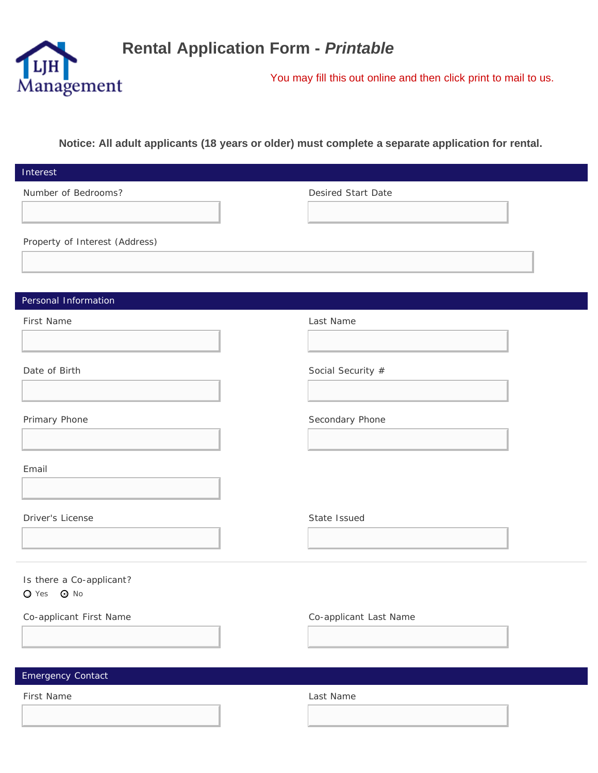# **Rental Application Form -** *Printable*



I

You may fill this out online and then click print to mail to us.

**Notice: All adult applicants (18 years or older) must complete a separate application for rental.**

| Interest                       |                        |
|--------------------------------|------------------------|
| Number of Bedrooms?            | Desired Start Date     |
|                                |                        |
| Property of Interest (Address) |                        |
|                                |                        |
|                                |                        |
| Personal Information           |                        |
| First Name                     | Last Name              |
|                                |                        |
| Date of Birth                  | Social Security #      |
|                                |                        |
|                                |                        |
| Primary Phone                  | Secondary Phone        |
|                                |                        |
| Email                          |                        |
|                                |                        |
| Driver's License               | State Issued           |
|                                |                        |
|                                |                        |
| Is there a Co-applicant?       |                        |
| $O$ Yes $O$ No                 |                        |
| Co-applicant First Name        | Co-applicant Last Name |
|                                |                        |
|                                |                        |
| Emergency Contact              |                        |
| First Name                     | Last Name              |
|                                |                        |
|                                |                        |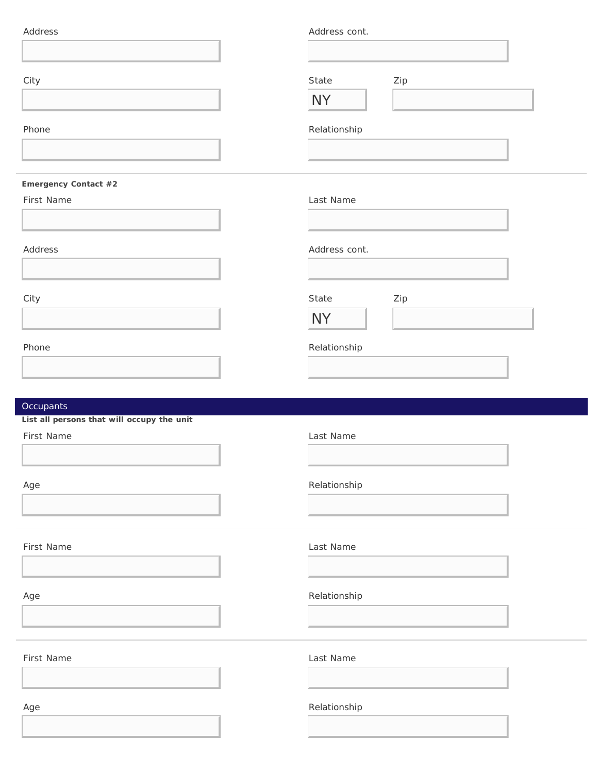| Address                                                  | Address cont. |
|----------------------------------------------------------|---------------|
|                                                          |               |
| City                                                     | State         |
|                                                          | Zip           |
|                                                          | <b>NY</b>     |
| Phone                                                    | Relationship  |
|                                                          |               |
| Emergency Contact #2                                     |               |
| First Name                                               | Last Name     |
|                                                          |               |
| Address                                                  | Address cont. |
|                                                          |               |
| City                                                     | State<br>Zip  |
|                                                          | <b>NY</b>     |
| Phone                                                    | Relationship  |
|                                                          |               |
|                                                          |               |
|                                                          |               |
| Occupants                                                |               |
| List all persons that will occupy the unit<br>First Name | Last Name     |
|                                                          |               |
|                                                          |               |
| Age                                                      | Relationship  |
|                                                          |               |
| First Name                                               | Last Name     |
|                                                          |               |
| Age                                                      | Relationship  |
|                                                          |               |
|                                                          |               |
| First Name                                               | Last Name     |
|                                                          |               |
| Age                                                      | Relationship  |
|                                                          |               |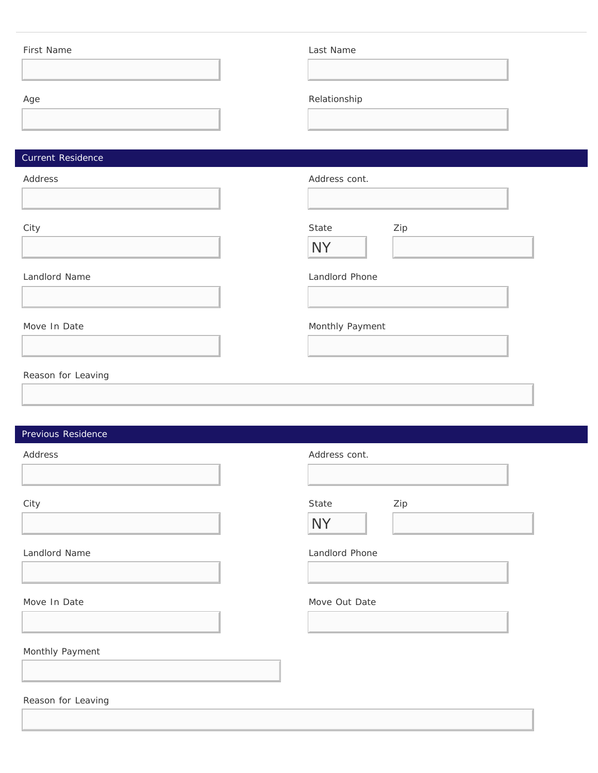| First Name               | Last Name                 |
|--------------------------|---------------------------|
| Age                      | Relationship              |
| <b>Current Residence</b> |                           |
| Address                  | Address cont.             |
| City                     | State<br>Zip<br><b>NY</b> |
| Landlord Name            | Landlord Phone            |
| Move In Date             | Monthly Payment           |
| Reason for Leaving       |                           |
| Previous Residence       |                           |
| Address                  | Address cont.             |
| City                     | Zip<br>State<br><b>NY</b> |

| Address            | Address cont.  |     |
|--------------------|----------------|-----|
|                    |                |     |
| City               | State          | Zip |
|                    | <b>NY</b>      |     |
| Landlord Name      | Landlord Phone |     |
|                    |                |     |
| Move In Date       | Move Out Date  |     |
|                    |                |     |
| Monthly Payment    |                |     |
|                    |                |     |
| Reason for Leaving |                |     |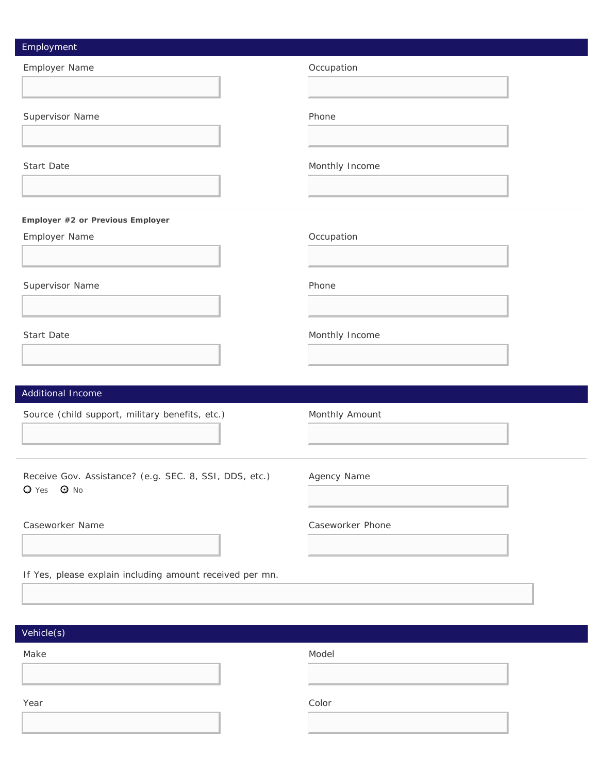| Employment                                                           |                  |
|----------------------------------------------------------------------|------------------|
| Employer Name                                                        | Occupation       |
|                                                                      |                  |
| Supervisor Name                                                      | Phone            |
|                                                                      |                  |
| Start Date                                                           | Monthly Income   |
|                                                                      |                  |
| Employer #2 or Previous Employer                                     |                  |
| Employer Name                                                        | Occupation       |
|                                                                      |                  |
| Supervisor Name                                                      | Phone            |
|                                                                      |                  |
| Start Date                                                           | Monthly Income   |
|                                                                      |                  |
|                                                                      |                  |
|                                                                      |                  |
| Additional Income<br>Source (child support, military benefits, etc.) | Monthly Amount   |
|                                                                      |                  |
|                                                                      |                  |
| Receive Gov. Assistance? (e.g. SEC. 8, SSI, DDS, etc.)<br>O Yes O No | Agency Name      |
|                                                                      |                  |
| Caseworker Name                                                      | Caseworker Phone |
|                                                                      |                  |
| If Yes, please explain including amount received per mn.             |                  |
|                                                                      |                  |
| Vehicle(s)                                                           |                  |
| Make                                                                 | Model            |
|                                                                      |                  |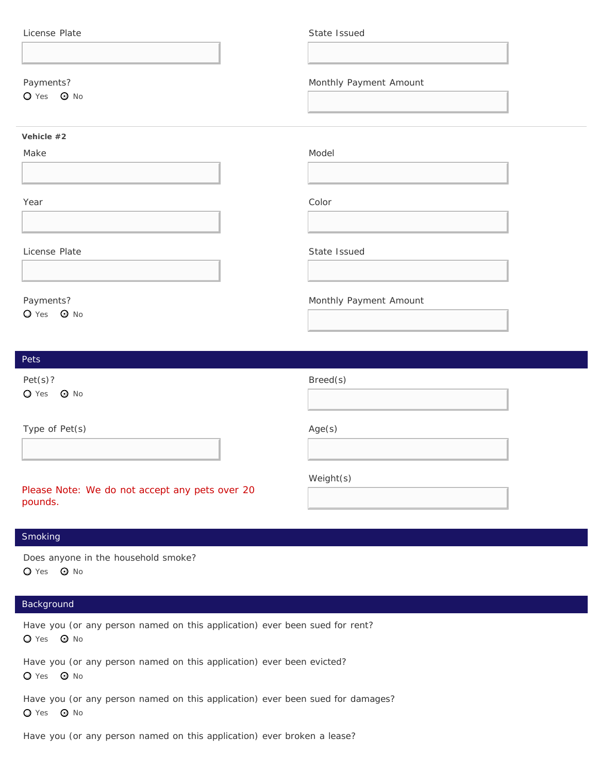| License Plate                                             | State Issued           |
|-----------------------------------------------------------|------------------------|
|                                                           |                        |
|                                                           |                        |
| Payments?                                                 | Monthly Payment Amount |
| $O$ Yes $O$ No                                            |                        |
|                                                           |                        |
| Vehicle #2                                                |                        |
| Make                                                      | Model                  |
|                                                           |                        |
|                                                           |                        |
| Year                                                      | Color                  |
|                                                           |                        |
| License Plate                                             | State Issued           |
|                                                           |                        |
|                                                           |                        |
| Payments?                                                 | Monthly Payment Amount |
| O Yes O No                                                |                        |
|                                                           |                        |
| Pets                                                      |                        |
| Pet(s)?                                                   | Breed(s)               |
| O Yes O No                                                |                        |
|                                                           |                        |
| Type of Pet(s)                                            | Age(s)                 |
|                                                           |                        |
|                                                           |                        |
|                                                           | Weight(s)              |
| Please Note: We do not accept any pets over 20<br>pounds. |                        |
|                                                           |                        |

### Smoking

Does anyone in the household smoke? O Yes O No

# Background

Have you (or any person named on this application) ever been sued for rent? O Yes O No

Have you (or any person named on this application) ever been evicted? O Yes O No

Have you (or any person named on this application) ever been sued for damages? O Yes O No

Have you (or any person named on this application) ever broken a lease?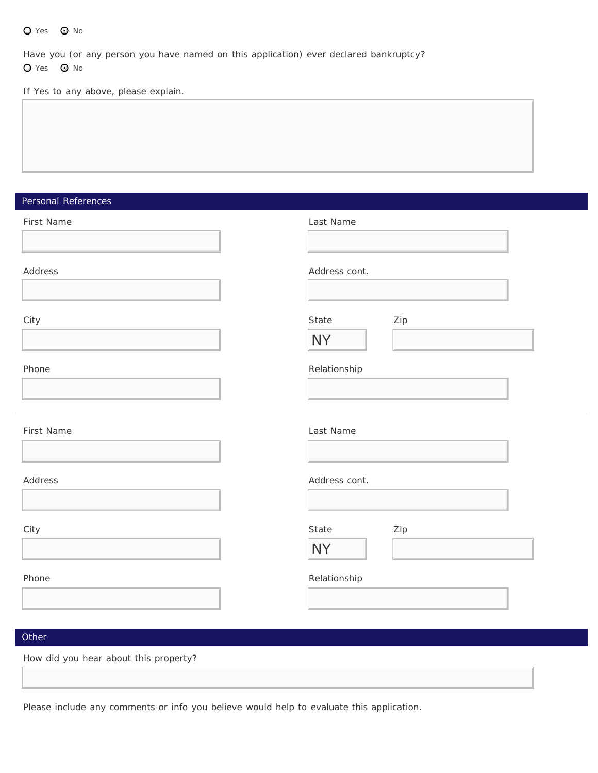#### O Yes O No

Have you (or any person you have named on this application) ever declared bankruptcy?

O Yes O No

If Yes to any above, please explain.

| Personal References |                           |
|---------------------|---------------------------|
| First Name          | Last Name                 |
| Address             | Address cont.             |
| City                | State<br>Zip<br><b>NY</b> |
| Phone               | Relationship              |
| First Name          | Last Name                 |
| Address             | Address cont.             |
| City                | State<br>Zip<br><b>NY</b> |
| Phone               | Relationship              |

# **Other**

How did you hear about this property?

Please include any comments or info you believe would help to evaluate this application.